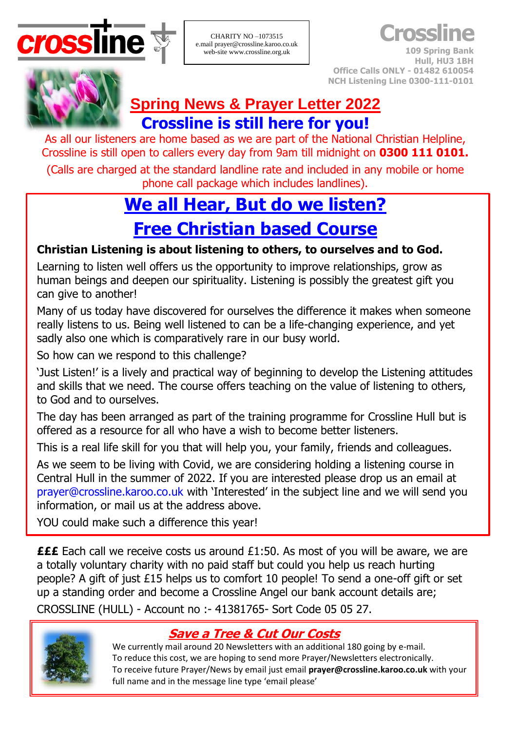

CHARITY NO –1073515 e.mail prayer@crossline.karoo.co.uk web-site www.crossline.org.uk

**Crossline**

**109 Spring Bank Hull, HU3 1BH Office Calls ONLY - 01482 610054 NCH Listening Line 0300-111-0101**



## **Spring News & Prayer Letter 2022 Crossline is still here for you!**

As all our listeners are home based as we are part of the National Christian Helpline, Crossline is still open to callers every day from 9am till midnight on **0300 111 0101.**

(Calls are charged at the standard landline rate and included in any mobile or home phone call package which includes landlines).

# **We all Hear, But do we listen? Free Christian based Course**

## **Christian Listening is about listening to others, to ourselves and to God.**

Learning to listen well offers us the opportunity to improve relationships, grow as human beings and deepen our spirituality. Listening is possibly the greatest gift you can give to another!

Many of us today have discovered for ourselves the difference it makes when someone really listens to us. Being well listened to can be a life-changing experience, and yet sadly also one which is comparatively rare in our busy world.

So how can we respond to this challenge?

'Just Listen!' is a lively and practical way of beginning to develop the Listening attitudes and skills that we need. The course offers teaching on the value of listening to others, to God and to ourselves.

The day has been arranged as part of the training programme for Crossline Hull but is offered as a resource for all who have a wish to become better listeners.

This is a real life skill for you that will help you, your family, friends and colleagues.

As we seem to be living with Covid, we are considering holding a listening course in Central Hull in the summer of 2022. If you are interested please drop us an email at [prayer@crossline.karoo.co.uk](mailto:prayer@crossline.karoo.co.uk) with 'Interested' in the subject line and we will send you information, or mail us at the address above.

YOU could make such a difference this year!

**£££** Each call we receive costs us around £1:50. As most of you will be aware, we are a totally voluntary charity with no paid staff but could you help us reach hurting people? A gift of just £15 helps us to comfort 10 people! To send a one-off gift or set up a standing order and become a Crossline Angel our bank account details are; CROSSLINE (HULL) - Account no :- 41381765- Sort Code 05 05 27.



## **Save a Tree & Cut Our Costs**

We currently mail around 20 Newsletters with an additional 180 going by e-mail. To reduce this cost, we are hoping to send more Prayer/Newsletters electronically. To receive future Prayer/News by email just email **[prayer@crossline.karoo.co.uk](mailto:prayer@crossline.karoo.co.uk)** with your full name and in the message line type 'email please'